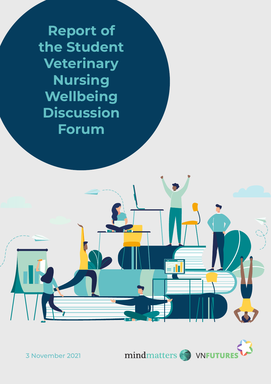**Report of the Student Veterinary Nursing Wellbeing Discussion Forum**



3 November 2021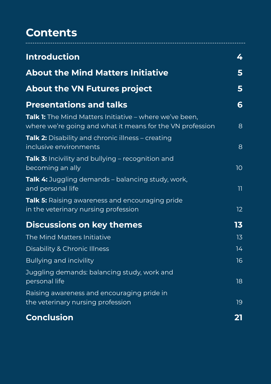### **Contents**

| <b>Introduction</b>                                                                                                         | 4               |
|-----------------------------------------------------------------------------------------------------------------------------|-----------------|
| <b>About the Mind Matters Initiative</b>                                                                                    | 5               |
| <b>About the VN Futures project</b>                                                                                         | 5               |
| <b>Presentations and talks</b>                                                                                              | 6               |
| <b>Talk 1:</b> The Mind Matters Initiative – where we've been,<br>where we're going and what it means for the VN profession | 8               |
| <b>Talk 2:</b> Disability and chronic illness – creating<br>inclusive environments                                          | 8               |
| Talk 3: Incivility and bullying - recognition and<br>becoming an ally                                                       | 10 <sup>°</sup> |
| <b>Talk 4:</b> Juggling demands – balancing study, work,<br>and personal life                                               | $\mathbb{H}$    |
| <b>Talk 5:</b> Raising awareness and encouraging pride<br>in the veterinary nursing profession                              | 12 <sub>2</sub> |
| <b>Discussions on key themes</b>                                                                                            | 13              |
| <b>The Mind Matters Initiative</b>                                                                                          | 13              |
| <b>Disability &amp; Chronic Illness</b>                                                                                     | 14              |
| <b>Bullying and incivility</b>                                                                                              | 16              |
| Juggling demands: balancing study, work and<br>personal life                                                                | 18              |
| Raising awareness and encouraging pride in                                                                                  |                 |
| the veterinary nursing profession                                                                                           | 19              |
| <b>Conclusion</b>                                                                                                           | <u>21</u>       |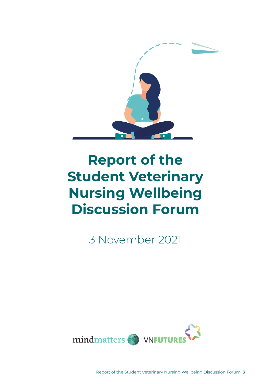

# **Report of the Student Veterinary Nursing Wellbeing Discussion Forum**

3 November 2021



Report of the Student Veterinary Nursing Wellbeing Discussion Forum **3**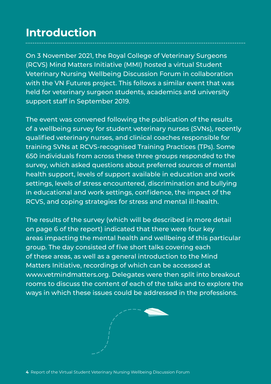### **Introduction**

On 3 November 2021, the Royal College of Veterinary Surgeons (RCVS) Mind Matters Initiative (MMI) hosted a virtual Student Veterinary Nursing Wellbeing Discussion Forum in collaboration with the VN Futures project. This follows a similar event that was held for veterinary surgeon students, academics and university support staff in September 2019.

The event was convened following the publication of the results of a wellbeing survey for student veterinary nurses (SVNs), recently qualified veterinary nurses, and clinical coaches responsible for training SVNs at RCVS-recognised Training Practices (TPs). Some 650 individuals from across these three groups responded to the survey, which asked questions about preferred sources of mental health support, levels of support available in education and work settings, levels of stress encountered, discrimination and bullying in educational and work settings, confidence, the impact of the RCVS, and coping strategies for stress and mental ill-health.

The results of the survey (which will be described in more detail on page 6 of the report) indicated that there were four key areas impacting the mental health and wellbeing of this particular group. The day consisted of five short talks covering each of these areas, as well as a general introduction to the Mind Matters Initiative, recordings of which can be accessed at www.vetmindmatters.org. Delegates were then split into breakout rooms to discuss the content of each of the talks and to explore the ways in which these issues could be addressed in the professions.

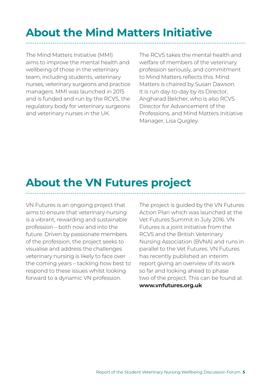## **About the Mind Matters Initiative**

The Mind Matters Initiative (MMI) aims to improve the mental health and wellbeing of those in the veterinary team, including students, veterinary nurses, veterinary surgeons and practice managers. MMI was launched in 2015 and is funded and run by the RCVS, the regulatory body for veterinary surgeons and veterinary nurses in the UK.

The RCVS takes the mental health and welfare of members of the veterinary profession seriously, and commitment to Mind Matters reflects this. Mind Matters is chaired by Susan Dawson. It is run day-to-day by its Director, Angharad Belcher, who is also RCVS Director for Advancement of the Professions, and Mind Matters Initiative Manager, Lisa Quigley.

### **About the VN Futures project**

VN Futures is an ongoing project that aims to ensure that veterinary nursing is a vibrant, rewarding and sustainable profession – both now and into the future. Driven by passionate members of the profession, the project seeks to visualise and address the challenges veterinary nursing is likely to face over the coming years – tackling how best to respond to these issues whilst looking forward to a dynamic VN profession.

The project is guided by the VN Futures Action Plan which was launched at the Vet Futures Summit in July 2016. VN Futures is a joint initiative from the RCVS and the British Veterinary Nursing Association (BVNA) and runs in parallel to the Vet Futures. VN Futures has recently published an interim report giving an overview of its work so far and looking ahead to phase two of the project. This can be found at **[www.vnfutures.org.uk](http://www.vnfutures.org.uk )**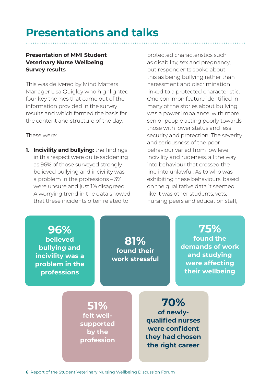### **Presentations and talks**

#### **Presentation of MMI Student Veterinary Nurse Wellbeing Survey results**

This was delivered by Mind Matters Manager Lisa Quigley who highlighted four key themes that came out of the information provided in the survey results and which formed the basis for the content and structure of the day.

These were:

**1. Incivility and bullying:** the findings in this respect were quite saddening as 96% of those surveyed strongly believed bullying and incivility was a problem in the professions – 3% were unsure and just 1% disagreed. A worrying trend in the data showed that these incidents often related to

protected characteristics such as disability, sex and pregnancy, but respondents spoke about this as being bullying rather than harassment and discrimination linked to a protected characteristic. One common feature identified in many of the stories about bullying was a power imbalance, with more senior people acting poorly towards those with lower status and less security and protection. The severity and seriousness of the poor behaviour varied from low level incivility and rudeness, all the way into behaviour that crossed the line into unlawful. As to who was exhibiting these behaviours, based on the qualitative data it seemed like it was other students, vets, nursing peers and education staff,

**96% believed bullying and incivility was a problem in the professions**

**81% found their work stressful**

**75% found the demands of work and studying were affecting their wellbeing**

**51% felt wellsupported by the profession**

**70% of newlyqualified nurses were confident they had chosen the right career**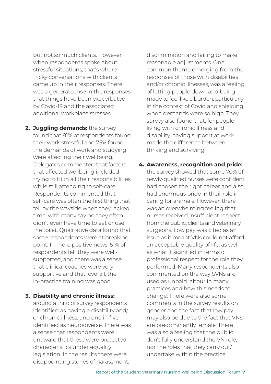but not so much clients. However, when respondents spoke about stressful situations, that's where tricky conversations with clients came up in their responses. There was a general sense in the responses that things have been exacerbated by Covid-19 and the associated additional workplace stresses.

- **2. Juggling demands:** the survey found that 81% of respondents found their work stressful and 75% found the demands of work and studying were affecting their wellbeing. Delegates commented that factors that affected wellbeing included trying to fit in all their responsibilities while still attending to self-care. Respondents commented that self-care was often the first thing that fell by the wayside when they lacked time, with many saying they often didn't even have time to eat or use the toilet. Qualitative data found that some respondents were at breaking point. In more positive news, 51% of respondents felt they were wellsupported, and there was a sense that clinical coaches were very supportive and that, overall, the in-practice training was good.
- **3. Disability and chronic illness:**

around a third of survey respondents identified as having a disability and/ or chronic illness, and one in five identified as neurodiverse. There was a sense that respondents were unaware that these were protected characteristics under equality legislation. In the results there were disappointing stories of harassment,

discrimination and failing to make reasonable adjustments. One common theme emerging from the responses of those with disabilities and/or chronic illnesses, was a feeling of letting people down and being made to feel like a burden, particularly in the context of Covid and shielding when demands were so high. They survey also found that, for people living with chronic illness and disability, having support at work made the difference between thriving and surviving.

**4. Awareness, recognition and pride:** 

the survey showed that some 70% of newly-qualified nurses were confident had chosen the right career and also had enormous pride in their role in caring for animals. However, there was an overwhelming feeling that nurses received insufficient respect from the public, clients and veterinary surgeons. Low pay was cited as an issue as it meant VNs could not afford an acceptable quality of life, as well as what it signified in terms of professional respect for the role they performed. Many respondents also commented on the way SVNs are used as unpaid labour in many practices and how this needs to change. There were also some comments in the survey results on gender and the fact that low pay may also be due to the fact that VNs are predominantly female. There was also a feeling that the public don't fully understand the VN role, nor the roles that they carry out/ undertake within the practice.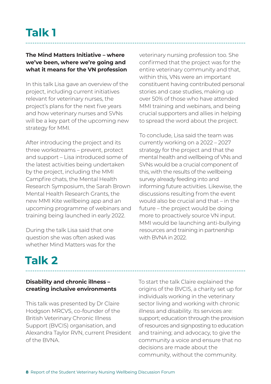#### **The Mind Matters Initiative – where we've been, where we're going and what it means for the VN profession**

In this talk Lisa gave an overview of the project, including current initiatives relevant for veterinary nurses, the project's plans for the next five years and how veterinary nurses and SVNs will be a key part of the upcoming new strategy for MMI.

After introducing the project and its three workstreams – prevent, protect and support – Lisa introduced some of the latest activities being undertaken by the project, including the MMI Campfire chats, the Mental Health Research Symposium, the Sarah Brown Mental Health Research Grants, the new MMI Kite wellbeing app and an upcoming programme of webinars and training being launched in early 2022.

During the talk Lisa said that one question she was often asked was whether Mind Matters was for the veterinary nursing profession too. She confirmed that the project was for the entire veterinary community and that, within this, VNs were an important constituent having contributed personal stories and case studies, making up over 50% of those who have attended MMI training and webinars, and being crucial supporters and allies in helping to spread the word about the project.

To conclude, Lisa said the team was currently working on a 2022 – 2027 strategy for the project and that the mental health and wellbeing of VNs and SVNs would be a crucial component of this, with the results of the wellbeing survey already feeding into and informing future activities. Likewise, the discussions resulting from the event would also be crucial and that – in the future – the project would be doing more to proactively source VN input. MMI would be launching anti-bullying resources and training in partnership with BVNA in 2022.

# **Talk 2**

#### **Disability and chronic illness – creating inclusive environments**

This talk was presented by Dr Claire Hodgson MRCVS, co-founder of the British Veterinary Chronic Illness Support (BVCIS) organisation, and Alexandra Taylor RVN, current President of the BVNA.

To start the talk Claire explained the origins of the BVCIS, a charity set up for individuals working in the veterinary sector living and working with chronic illness and disability. Its services are: support; education through the provision of resources and signposting to education and training; and advocacy, to give the community a voice and ensure that no decisions are made about the community, without the community.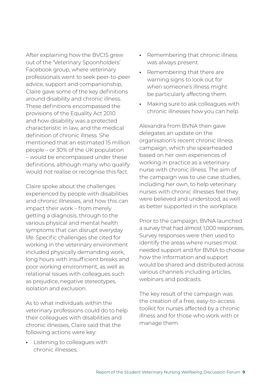After explaining how the BVCIS grew out of the 'Veterinary Spoonholders' Facebook group, where veterinary professionals went to seek peer-to-peer advice, support and companionship, Claire gave some of the key definitions around disability and chronic illness. These definitions encompassed the provisions of the Equality Act 2010 and how disability was a protected characteristic in law, and the medical definition of chronic illness. She mentioned that an estimated 15 million people – or 30% of the UK population – would be encompassed under these definitions, although many who qualify would not realise or recognise this fact.

Claire spoke about the challenges experienced by people with disabilities and chronic illnesses, and how this can impact their work – from merely getting a diagnosis, through to the various physical and mental health symptoms that can disrupt everyday life. Specific challenges she cited for working in the veterinary environment included physically demanding work, long hours with insufficient breaks and poor working environment, as well as relational issues with colleagues such as prejudice, negative stereotypes. isolation and exclusion.

As to what individuals within the veterinary professions could do to help their colleagues with disabilities and chronic illnesses, Claire said that the following actions were key:

**•** Listening to colleagues with chronic illnesses.

- Remembering that chronic illness was always present.
- Remembering that there are warning signs to look out for when someone's illness might be particularly affecting them.
- Making sure to ask colleagues with chronic illnesses how you can help.

Alexandra from BVNA then gave delegates an update on the organisation's recent chronic illness campaign, which she spearheaded based on her own experiences of working in practice as a veterinary nurse with chronic illness. The aim of the campaign was to use case studies, including her own, to help veterinary nurses with chronic illnesses feel they were believed and understood, as well as better supported in the workplace.

Prior to the campaign, BVNA launched a survey that had almost 1,000 responses. Survey responses were then used to identify the areas where nurses most needed support and for BVNA to choose how the information and support would be shared and distributed across various channels including articles, webinars and podcasts.

The key result of the campaign was the creation of a free, easy-to-access toolkit for nurses affected by a chronic illness and for those who work with or manage them.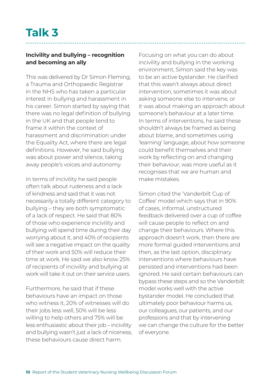#### **Incivility and bullying – recognition and becoming an ally**

This was delivered by Dr Simon Fleming, a Trauma and Orthopaedic Registrar in the NHS who has taken a particular interest in bullying and harassment in his career. Simon started by saying that there was no legal definition of bullying in the UK and that people tend to frame it within the context of harassment and discrimination under the Equality Act, where there are legal definitions. However, he said bullying was about power and silence, taking away people's voices and autonomy.

In terms of incivility he said people often talk about rudeness and a lack of kindness and said that it was not necessarily a totally different category to bullying – they are both symptomatic of a lack of respect. He said that 80% of those who experience incivility and bullying will spend time during their day worrying about it, and 40% of recipients will see a negative impact on the quality of their work and 50% will reduce their time at work. He said we also know 25% of recipients of incivility and bullying at work will take it out on their service users.

Furthermore, he said that if these behaviours have an impact on those who witness it, 20% of witnesses will do their jobs less well, 50% will be less willing to help others and 75% will be less enthusiastic about their job – incivility and bullying wasn't just a lack of niceness, these behaviours cause direct harm.

Focusing on what you can do about incivility and bullying in the working environment, Simon said the key was to be an active bystander. He clarified that this wasn't always about direct intervention, sometimes it was about asking someone else to intervene, or it was about making an approach about someone's behaviour at a later time. In terms of interventions, he said these shouldn't always be framed as being about blame, and sometimes using 'learning' language, about how someone could benefit themselves and their work by reflecting on and changing their behaviour, was more useful as it recognises that we are human and make mistakes.

Simon cited the 'Vanderbilt Cup of Coffee' model which says that in 90% of cases, informal, unstructured feedback delivered over a cup of coffee will cause people to reflect on and change their behaviours. Where this approach doesn't work, then there are more formal guided interventions and then, as the last option, disciplinary interventions where behaviours have persisted and interventions had been ignored. He said certain behaviours can bypass these steps and so the Vanderbilt model works well with the active bystander model. He concluded that ultimately poor behaviour harms us, our colleagues, our patients, and our professions and that by intervening we can change the culture for the better of everyone.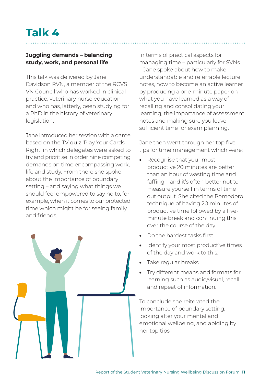### **Talk 4**

#### **Juggling demands – balancing study, work, and personal life**

This talk was delivered by Jane Davidson RVN, a member of the RCVS VN Council who has worked in clinical practice, veterinary nurse education and who has, latterly, been studying for a PhD in the history of veterinary legislation.

Jane introduced her session with a game based on the TV quiz 'Play Your Cards Right' in which delegates were asked to try and prioritise in order nine competing demands on time encompassing work, life and study. From there she spoke about the importance of boundary setting – and saying what things we should feel empowered to say no to, for example, when it comes to our protected time which might be for seeing family and friends.



In terms of practical aspects for managing time – particularly for SVNs – Jane spoke about how to make understandable and referrable lecture notes, how to become an active learner by producing a one-minute paper on what you have learned as a way of recalling and consolidating your learning, the importance of assessment notes and making sure you leave sufficient time for exam planning.

Jane then went through her top five tips for time management which were:

- Recognise that your most productive 20 minutes are better than an hour of wasting time and faffing – and it's often better not to measure yourself in terms of time out output. She cited the Pomodoro technique of having 20 minutes of productive time followed by a fiveminute break and continuing this over the course of the day.
- Do the hardest tasks first.
- Identify your most productive times of the day and work to this.
- Take regular breaks.
- Try different means and formats for learning such as audio/visual, recall and repeat of information.

To conclude she reiterated the importance of boundary setting, looking after your mental and emotional wellbeing, and abiding by her top tips.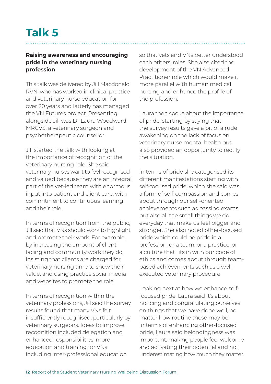### **Talk 5**

#### **Raising awareness and encouraging pride in the veterinary nursing profession**

This talk was delivered by Jill Macdonald RVN, who has worked in clinical practice and veterinary nurse education for over 20 years and latterly has managed the VN Futures project. Presenting alongside Jill was Dr Laura Woodward MRCVS, a veterinary surgeon and psychotherapeutic counsellor.

Jill started the talk with looking at the importance of recognition of the veterinary nursing role. She said veterinary nurses want to feel recognised and valued because they are an integral part of the vet-led team with enormous input into patient and client care, with commitment to continuous learning and their role.

In terms of recognition from the public, Jill said that VNs should work to highlight and promote their work. For example, by increasing the amount of clientfacing and community work they do, insisting that clients are charged for veterinary nursing time to show their value, and using practice social media and websites to promote the role.

In terms of recognition within the veterinary professions, Jill said the survey results found that many VNs felt insufficiently recognised, particularly by veterinary surgeons. Ideas to improve recognition included delegation and enhanced responsibilities, more education and training for VNs including inter-professional education

so that vets and VNs better understood each others' roles. She also cited the development of the VN Advanced Practitioner role which would make it more parallel with human medical nursing and enhance the profile of the profession.

Laura then spoke about the importance of pride, starting by saying that the survey results gave a bit of a rude awakening on the lack of focus on veterinary nurse mental health but also provided an opportunity to rectify the situation.

In terms of pride she categorised its different manifestations starting with self-focused pride, which she said was a form of self-compassion and comes about through our self-oriented achievements such as passing exams but also all the small things we do everyday that make us feel bigger and stronger. She also noted other-focused pride which could be pride in a profession, or a team, or a practice, or a culture that fits in with our code of ethics and comes about through teambased achievements such as a wellexecuted veterinary procedure

Looking next at how we enhance selffocused pride, Laura said it's about noticing and congratulating ourselves on things that we have done well, no matter how routine these may be. In terms of enhancing other-focused pride, Laura said belongingness was important, making people feel welcome and activating their potential and not underestimating how much they matter.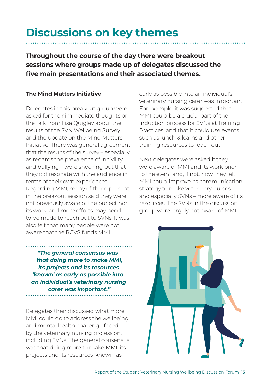### **Discussions on key themes**

**Throughout the course of the day there were breakout sessions where groups made up of delegates discussed the five main presentations and their associated themes.**

#### **The Mind Matters Initiative**

Delegates in this breakout group were asked for their immediate thoughts on the talk from Lisa Quigley about the results of the SVN Wellbeing Survey and the update on the Mind Matters Initiative. There was general agreement that the results of the survey – especially as regards the prevalence of incivility and bullying – were shocking but that they did resonate with the audience in terms of their own experiences. Regarding MMI, many of those present in the breakout session said they were not previously aware of the project nor its work, and more efforts may need to be made to reach out to SVNs. It was also felt that many people were not aware that the RCVS funds MMI.

*"The general consensus was that doing more to make MMI, its projects and its resources 'known' as early as possible into an individual's veterinary nursing carer was important."* 

Delegates then discussed what more MMI could do to address the wellbeing and mental health challenge faced by the veterinary nursing profession, including SVNs. The general consensus was that doing more to make MMI, its projects and its resources 'known' as

early as possible into an individual's veterinary nursing carer was important. For example, it was suggested that MMI could be a crucial part of the induction process for SVNs at Training Practices, and that it could use events such as lunch & learns and other training resources to reach out.

Next delegates were asked if they were aware of MMI and its work prior to the event and, if not, how they felt MMI could improve its communication strategy to make veterinary nurses – and especially SVNs – more aware of its resources. The SVNs in the discussion group were largely not aware of MMI

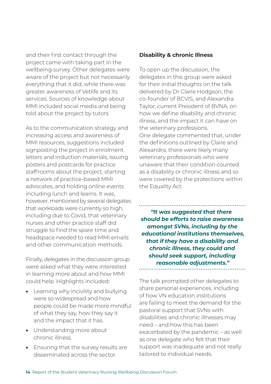and their first contact through the project came with taking part in the wellbeing survey. Other delegates were aware of the project but not necessarily everything that it did, while there was greater awareness of Vetlife and its services. Sources of knowledge about MMI included social media and being told about the project by tutors.

As to the communication strategy and increasing access and awareness of MMI resources, suggestions included signposting the project in enrolment letters and induction materials, issuing posters and postcards for practice staffrooms about the project, starting a network of practice-based MMI advocates, and holding online events including lunch and learns. It was, however, mentioned by several delegates that workloads were currently so high, including due to Covid, that veterinary nurses and other practice staff did struggle to find the spare time and headspace needed to read MMI emails and other communication methods.

Finally, delegates in the discussion group were asked what they were interested in learning more about and how MMI could help. Highlights included:

- Learning why incivility and bullying were so widespread and how people could be made more mindful of what they say, how they say it and the impact that it has.
- Understanding more about chronic illness.
- Ensuring that the survey results are disseminated across the sector.

#### **Disability & chronic Illness**

To open up the discussion, the delegates in this group were asked for their initial thoughts on the talk delivered by Dr Claire Hodgson, the co-founder of BCVIS, and Alexandra Taylor, current President of BVNA, on how we define disability and chronic illness, and the impact it can have on the veterinary professions. One delegate commented that, under the definitions outlined by Claire and Alexandra, there were likely many veterinary professionals who were unaware that their condition counted as a disability or chronic illness and so were covered by the protections within the Equality Act.

*"It was suggested that there should be efforts to raise awareness amongst SVNs, including by the educational institutions themselves, that if they have a disability and chronic illness, they could and should seek support, including reasonable adjustments."*

The talk prompted other delegates to share personal experiences, including of how VN education institutions are failing to meet the demand for the pastoral support that SVNs with disabilities and chronic illnesses may need – and how this has been exacerbated by the pandemic – as well as one delegate who felt that their support was inadequate and not really tailored to individual needs.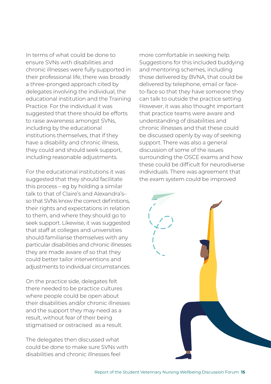In terms of what could be done to ensure SVNs with disabilities and chronic illnesses were fully supported in their professional life, there was broadly a three-pronged approach cited by delegates involving the individual, the educational institution and the Training Practice. For the individual it was suggested that there should be efforts to raise awareness amongst SVNs, including by the educational institutions themselves, that if they have a disability and chronic illness, they could and should seek support, including reasonable adjustments.

For the educational institutions it was suggested that they should facilitate this process – eg by holding a similar talk to that of Claire's and Alexandra's– so that SVNs know the correct definitions, their rights and expectations in relation to them, and where they should go to seek support. Likewise, it was suggested that staff at colleges and universities should familiarise themselves with any particular disabilities and chronic illnesses they are made aware of so that they could better tailor interventions and adjustments to individual circumstances.

On the practice side, delegates felt there needed to be practice cultures where people could be open about their disabilities and/or chronic illnesses and the support they may need as a result, without fear of their being stigmatised or ostracised as a result.

The delegates then discussed what could be done to make sure SVNs with disabilities and chronic illnesses feel

more comfortable in seeking help. Suggestions for this included buddying and mentoring schemes, including those delivered by BVNA, that could be delivered by telephone, email or faceto-face so that they have someone they can talk to outside the practice setting. However, it was also thought important that practice teams were aware and understanding of disabilities and chronic illnesses and that these could be discussed openly by way of seeking support. There was also a general discussion of some of the issues surrounding the OSCE exams and how these could be difficult for neurodiverse individuals. There was agreement that the exam system could be improved

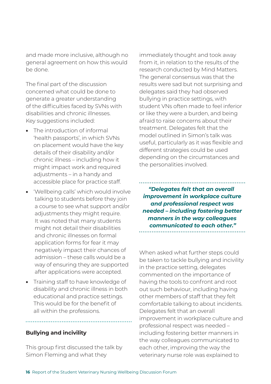and made more inclusive, although no general agreement on how this would be done.

The final part of the discussion concerned what could be done to generate a greater understanding of the difficulties faced by SVNs with disabilities and chronic illnesses. Key suggestions included:

- The introduction of informal 'health passports', in which SVNs on placement would have the key details of their disability and/or chronic illness – including how it might impact work and required adjustments – in a handy and accessible place for practice staff.
- 'Wellbeing calls' which would involve talking to students before they join a course to see what support and/or adjustments they might require. It was noted that many students might not detail their disabilities and chronic illnesses on formal application forms for fear it may negatively impact their chances of admission – these calls would be a way of ensuring they are supported after applications were accepted.
- Training staff to have knowledge of disability and chronic illness in both educational and practice settings. This would be for the benefit of all within the professions.

#### **Bullying and incivility**

This group first discussed the talk by Simon Fleming and what they

immediately thought and took away from it, in relation to the results of the research conducted by Mind Matters. The general consensus was that the results were sad but not surprising and delegates said they had observed bullying in practice settings, with student VNs often made to feel inferior or like they were a burden, and being afraid to raise concerns about their treatment. Delegates felt that the model outlined in Simon's talk was useful, particularly as it was flexible and different strategies could be used depending on the circumstances and the personalities involved.

*"Delegates felt that an overall improvement in workplace culture and professional respect was needed – including fostering better manners in the way colleagues communicated to each other."* 

When asked what further steps could be taken to tackle bullying and incivility in the practice setting, delegates commented on the importance of having the tools to confront and root out such behaviour, including having other members of staff that they felt comfortable talking to about incidents. Delegates felt that an overall improvement in workplace culture and professional respect was needed – including fostering better manners in the way colleagues communicated to each other, improving the way the veterinary nurse role was explained to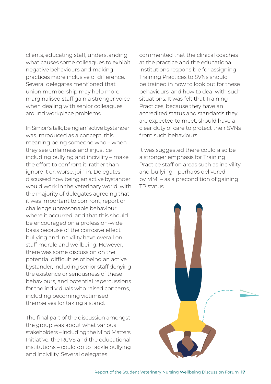clients, educating staff, understanding what causes some colleagues to exhibit negative behaviours and making practices more inclusive of difference. Several delegates mentioned that union membership may help more marginalised staff gain a stronger voice when dealing with senior colleagues around workplace problems.

In Simon's talk, being an 'active bystander' was introduced as a concept, this meaning being someone who – when they see unfairness and injustice including bullying and incivility – make the effort to confront it, rather than ignore it or, worse, join in. Delegates discussed how being an active bystander would work in the veterinary world, with the majority of delegates agreeing that it was important to confront, report or challenge unreasonable behaviour where it occurred, and that this should be encouraged on a profession-wide basis because of the corrosive effect bullying and incivility have overall on staff morale and wellbeing. However, there was some discussion on the potential difficulties of being an active bystander, including senior staff denying the existence or seriousness of these behaviours, and potential repercussions for the individuals who raised concerns, including becoming victimised themselves for taking a stand.

The final part of the discussion amongst the group was about what various stakeholders – including the Mind Matters Initiative, the RCVS and the educational institutions – could do to tackle bullying and incivility. Several delegates

commented that the clinical coaches at the practice and the educational institutions responsible for assigning Training Practices to SVNs should be trained in how to look out for these behaviours, and how to deal with such situations. It was felt that Training Practices, because they have an accredited status and standards they are expected to meet, should have a clear duty of care to protect their SVNs from such behaviours.

It was suggested there could also be a stronger emphasis for Training Practice staff on areas such as incivility and bullying – perhaps delivered by MMI – as a precondition of gaining TP status.

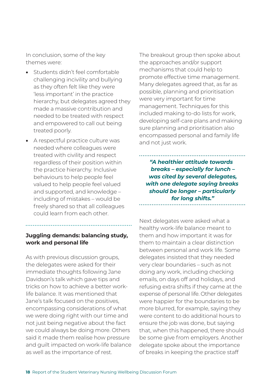In conclusion, some of the key themes were:

- Students didn't feel comfortable challenging incivility and bullying as they often felt like they were 'less important' in the practice hierarchy, but delegates agreed they made a massive contribution and needed to be treated with respect and empowered to call out being treated poorly.
- A respectful practice culture was needed where colleagues were treated with civility and respect regardless of their position within the practice hierarchy. Inclusive behaviours to help people feel valued to help people feel valued and supported, and knowledge – including of mistakes – would be freely shared so that all colleagues could learn from each other.

#### **Juggling demands: balancing study, work and personal life**

As with previous discussion groups, the delegates were asked for their immediate thoughts following Jane Davidson's talk which gave tips and tricks on how to achieve a better worklife balance. It was mentioned that Jane's talk focused on the positives, encompassing considerations of what we were doing right with our time and not just being negative about the fact we could always be doing more. Others said it made them realise how pressure and guilt impacted on work-life balance as well as the importance of rest.

The breakout group then spoke about the approaches and/or support mechanisms that could help to promote effective time management. Many delegates agreed that, as far as possible, planning and prioritisation were very important for time management. Techniques for this included making to-do lists for work, developing self-care plans and making sure planning and prioritisation also encompassed personal and family life and not just work.

*"A healthier attitude towards breaks – especially for lunch – was cited by several delegates, with one delegate saying breaks should be longer – particularly for long shifts."* 

Next delegates were asked what a healthy work-life balance meant to them and how important it was for them to maintain a clear distinction between personal and work life. Some delegates insisted that they needed very clear boundaries – such as not doing any work, including checking emails, on days off and holidays, and refusing extra shifts if they came at the expense of personal life. Other delegates were happier for the boundaries to be more blurred, for example, saying they were content to do additional hours to ensure the job was done, but saying that, when this happened, there should be some give from employers. Another delegate spoke about the importance of breaks in keeping the practice staff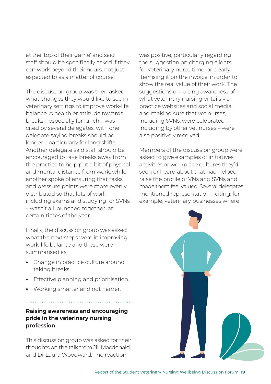at the 'top of their game' and said staff should be specifically asked if they can work beyond their hours, not just expected to as a matter of course.

The discussion group was then asked what changes they would like to see in veterinary settings to improve work-life balance. A healthier attitude towards breaks – especially for lunch – was cited by several delegates, with one delegate saying breaks should be longer – particularly for long shifts. Another delegate said staff should be encouraged to take breaks away from the practice to help put a bit of physical and mental distance from work, while another spoke of ensuring that tasks and pressure points were more evenly distributed so that lots of work – including exams and studying for SVNs – wasn't all 'bunched together' at certain times of the year.

Finally, the discussion group was asked what the next steps were in improving work-life balance and these were summarised as:

- Change in practice culture around taking breaks.
- Effective planning and prioritisation.
- Working smarter and not harder.

#### **Raising awareness and encouraging pride in the veterinary nursing profession**

This discussion group was asked for their thoughts on the talk from Jill Macdonald and Dr Laura Woodward. The reaction

was positive, particularly regarding the suggestion on charging clients for veterinary nurse time, or clearly itemising it on the invoice, in order to show the real value of their work. The suggestions on raising awareness of what veterinary nursing entails via practice websites and social media, and making sure that vet nurses, including SVNs, were celebrated – including by other vet nurses – were also positively received.

Members of the discussion group were asked to give examples of initiatives, activities or workplace cultures they'd seen or heard about that had helped raise the profile of VNs and SVNs and made them feel valued. Several delegates mentioned representation – citing, for example, veterinary businesses where

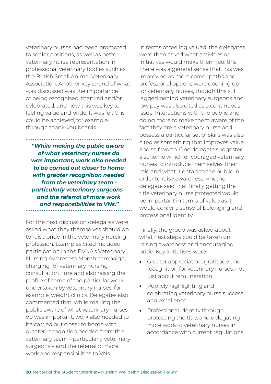veterinary nurses had been promoted to senior positions, as well as better veterinary nurse representation in professional veterinary bodies such as the British Small Animal Veterinary Association. Another key strand of what was discussed was the importance of being recognised, thanked and/or celebrated, and how this was key to feeling value and pride. It was felt this could be achieved, for example, through thank-you boards.

*"While making the public aware of what veterinary nurses do was important, work also needed to be carried out closer to home with greater recognition needed from the veterinary team – particularly veterinary surgeons – and the referral of more work and responsibilities to VNs."*  

For the next discussion delegates were asked what they themselves should do to raise pride in the veterinary nursing profession. Examples cited included participation in the BVNA's Veterinary Nursing Awareness Month campaign, charging for veterinary nursing consultation time and also raising the profile of some of the particular work undertaken by veterinary nurses, for example, weight clinics. Delegates also commented that, while making the public aware of what veterinary nurses do was important, work also needed to be carried out closer to home with greater recognition needed from the veterinary team – particularly veterinary surgeons – and the referral of more work and responsibilities to VNs.

In terms of feeling valued, the delegates were then asked what activities or initiatives would make them feel this. There was a general sense that this was improving as more career paths and professional options were opening up for veterinary nurses, though this still lagged behind veterinary surgeons and low pay was also cited as a continuous issue. Interactions with the public and doing more to make them aware of the fact they are a veterinary nurse and possess a particular set of skills was also cited as something that improves value and self-worth. One delegate suggested a scheme which encouraged veterinary nurses to introduce themselves, their role and what it entals to the public in order to raise awareness. Another delegate said that finally getting the title veterinary nurse protected would be important in terms of value as it would confer a sense of belonging and professional identity.

Finally, the group was asked about what next steps could be taken on raising awareness and encouraging pride. Key initiatives were:

- Greater appreciation, gratitude and recognition for veterinary nurses, not just about remuneration.
- Publicly highlighting and celebrating veterinary nurse success and excellence.
- Professional identity through protecting the title, and delegating more work to veterinary nurses in accordance with current regulations.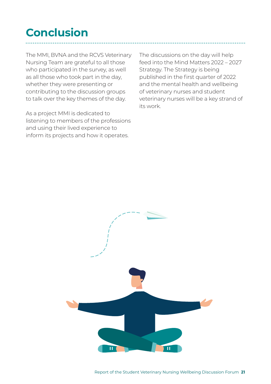# **Conclusion**

The MMI, BVNA and the RCVS Veterinary Nursing Team are grateful to all those who participated in the survey, as well as all those who took part in the day, whether they were presenting or contributing to the discussion groups to talk over the key themes of the day.

As a project MMI is dedicated to listening to members of the professions and using their lived experience to inform its projects and how it operates.

The discussions on the day will help feed into the Mind Matters 2022 – 2027 Strategy. The Strategy is being published in the first quarter of 2022 and the mental health and wellbeing of veterinary nurses and student veterinary nurses will be a key strand of its work.